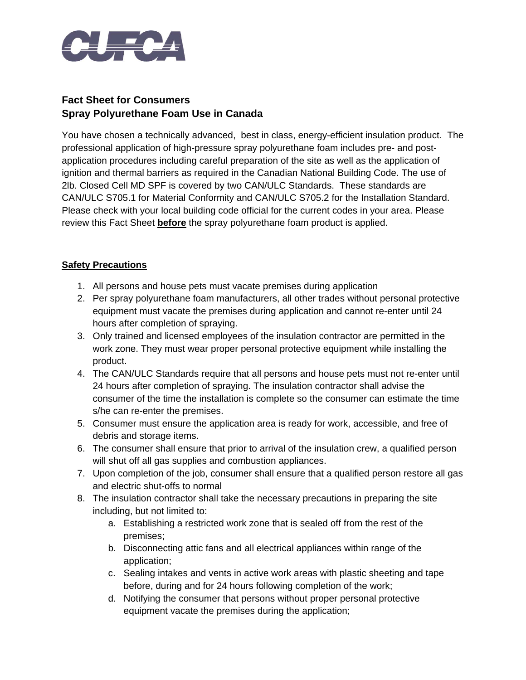

## **Fact Sheet for Consumers Spray Polyurethane Foam Use in Canada**

You have chosen a technically advanced, best in class, energy-efficient insulation product. The professional application of high-pressure spray polyurethane foam includes pre- and postapplication procedures including careful preparation of the site as well as the application of ignition and thermal barriers as required in the Canadian National Building Code. The use of 2lb. Closed Cell MD SPF is covered by two CAN/ULC Standards. These standards are CAN/ULC S705.1 for Material Conformity and CAN/ULC S705.2 for the Installation Standard. Please check with your local building code official for the current codes in your area. Please review this Fact Sheet **before** the spray polyurethane foam product is applied.

## **Safety Precautions**

- 1. All persons and house pets must vacate premises during application
- 2. Per spray polyurethane foam manufacturers, all other trades without personal protective equipment must vacate the premises during application and cannot re-enter until 24 hours after completion of spraying.
- 3. Only trained and licensed employees of the insulation contractor are permitted in the work zone. They must wear proper personal protective equipment while installing the product.
- 4. The CAN/ULC Standards require that all persons and house pets must not re-enter until 24 hours after completion of spraying. The insulation contractor shall advise the consumer of the time the installation is complete so the consumer can estimate the time s/he can re-enter the premises.
- 5. Consumer must ensure the application area is ready for work, accessible, and free of debris and storage items.
- 6. The consumer shall ensure that prior to arrival of the insulation crew, a qualified person will shut off all gas supplies and combustion appliances.
- 7. Upon completion of the job, consumer shall ensure that a qualified person restore all gas and electric shut-offs to normal
- 8. The insulation contractor shall take the necessary precautions in preparing the site including, but not limited to:
	- a. Establishing a restricted work zone that is sealed off from the rest of the premises;
	- b. Disconnecting attic fans and all electrical appliances within range of the application;
	- c. Sealing intakes and vents in active work areas with plastic sheeting and tape before, during and for 24 hours following completion of the work;
	- d. Notifying the consumer that persons without proper personal protective equipment vacate the premises during the application;